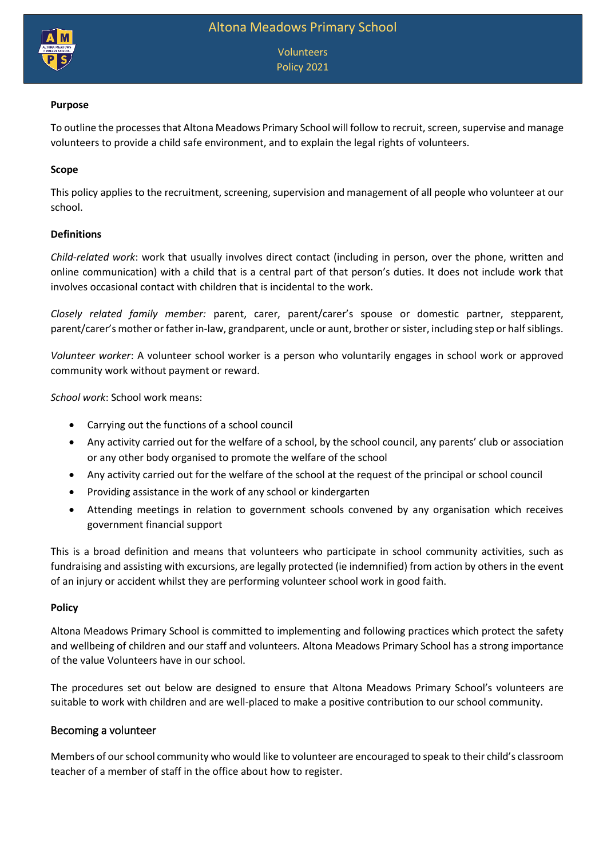

Volunteers Policy 2021

## **Purpose**

To outline the processes that Altona Meadows Primary School will follow to recruit, screen, supervise and manage volunteers to provide a child safe environment, and to explain the legal rights of volunteers.

## **Scope**

This policy applies to the recruitment, screening, supervision and management of all people who volunteer at our school.

#### **Definitions**

*Child-related work*: work that usually involves direct contact (including in person, over the phone, written and online communication) with a child that is a central part of that person's duties. It does not include work that involves occasional contact with children that is incidental to the work.

*Closely related family member:* parent, carer, parent/carer's spouse or domestic partner, stepparent, parent/carer's mother or father in-law, grandparent, uncle or aunt, brother or sister, including step or half siblings.

*Volunteer worker*: A volunteer school worker is a person who voluntarily engages in school work or approved community work without payment or reward.

*School work*: School work means:

- Carrying out the functions of a school council
- Any activity carried out for the welfare of a school, by the school council, any parents' club or association or any other body organised to promote the welfare of the school
- Any activity carried out for the welfare of the school at the request of the principal or school council
- Providing assistance in the work of any school or kindergarten
- Attending meetings in relation to government schools convened by any organisation which receives government financial support

This is a broad definition and means that volunteers who participate in school community activities, such as fundraising and assisting with excursions, are legally protected (ie indemnified) from action by others in the event of an injury or accident whilst they are performing volunteer school work in good faith.

#### **Policy**

Altona Meadows Primary School is committed to implementing and following practices which protect the safety and wellbeing of children and our staff and volunteers. Altona Meadows Primary School has a strong importance of the value Volunteers have in our school.

The procedures set out below are designed to ensure that Altona Meadows Primary School's volunteers are suitable to work with children and are well-placed to make a positive contribution to our school community.

#### Becoming a volunteer

Members of our school community who would like to volunteer are encouraged to speak to their child's classroom teacher of a member of staff in the office about how to register.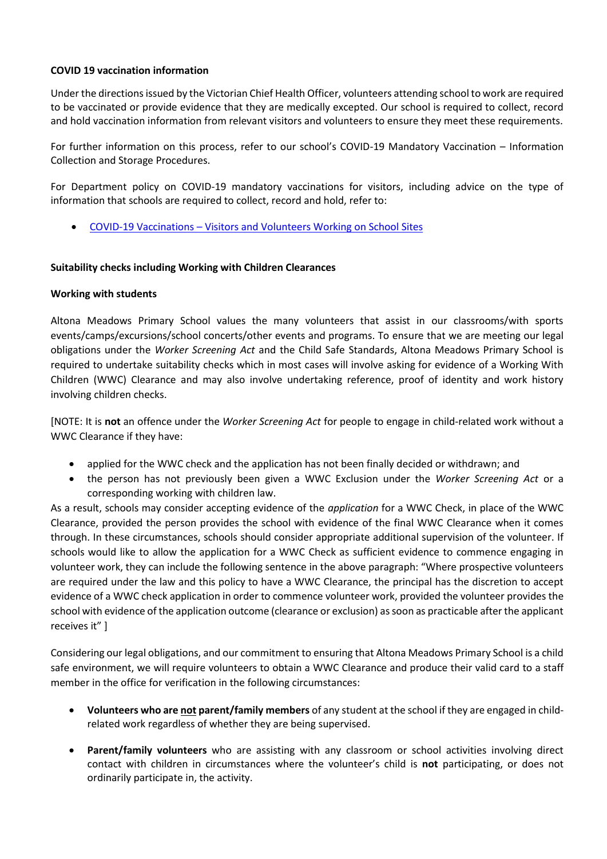# **COVID 19 vaccination information**

Under the directions issued by the Victorian Chief Health Officer, volunteers attending school to work are required to be vaccinated or provide evidence that they are medically excepted. Our school is required to collect, record and hold vaccination information from relevant visitors and volunteers to ensure they meet these requirements.

For further information on this process, refer to our school's COVID-19 Mandatory Vaccination – Information Collection and Storage Procedures.

For Department policy on COVID-19 mandatory vaccinations for visitors, including advice on the type of information that schools are required to collect, record and hold, refer to:

COVID-19 Vaccinations – [Visitors and Volunteers Working on School Sites](https://www2.education.vic.gov.au/pal/covid-19-vaccinations-visitors-volunteers/policy)

#### **Suitability checks including Working with Children Clearances**

#### **Working with students**

Altona Meadows Primary School values the many volunteers that assist in our classrooms/with sports events/camps/excursions/school concerts/other events and programs. To ensure that we are meeting our legal obligations under the *Worker Screening Act* and the Child Safe Standards, Altona Meadows Primary School is required to undertake suitability checks which in most cases will involve asking for evidence of a Working With Children (WWC) Clearance and may also involve undertaking reference, proof of identity and work history involving children checks.

[NOTE: It is **not** an offence under the *Worker Screening Act* for people to engage in child-related work without a WWC Clearance if they have:

- applied for the WWC check and the application has not been finally decided or withdrawn; and
- the person has not previously been given a WWC Exclusion under the *Worker Screening Act* or a corresponding working with children law.

As a result, schools may consider accepting evidence of the *application* for a WWC Check, in place of the WWC Clearance, provided the person provides the school with evidence of the final WWC Clearance when it comes through. In these circumstances, schools should consider appropriate additional supervision of the volunteer. If schools would like to allow the application for a WWC Check as sufficient evidence to commence engaging in volunteer work, they can include the following sentence in the above paragraph: "Where prospective volunteers are required under the law and this policy to have a WWC Clearance, the principal has the discretion to accept evidence of a WWC check application in order to commence volunteer work, provided the volunteer provides the school with evidence of the application outcome (clearance or exclusion) as soon as practicable after the applicant receives it" ]

Considering our legal obligations, and our commitment to ensuring that Altona Meadows Primary School is a child safe environment, we will require volunteers to obtain a WWC Clearance and produce their valid card to a staff member in the office for verification in the following circumstances:

- **Volunteers who are not parent/family members** of any student at the school if they are engaged in childrelated work regardless of whether they are being supervised.
- **Parent/family volunteers** who are assisting with any classroom or school activities involving direct contact with children in circumstances where the volunteer's child is **not** participating, or does not ordinarily participate in, the activity.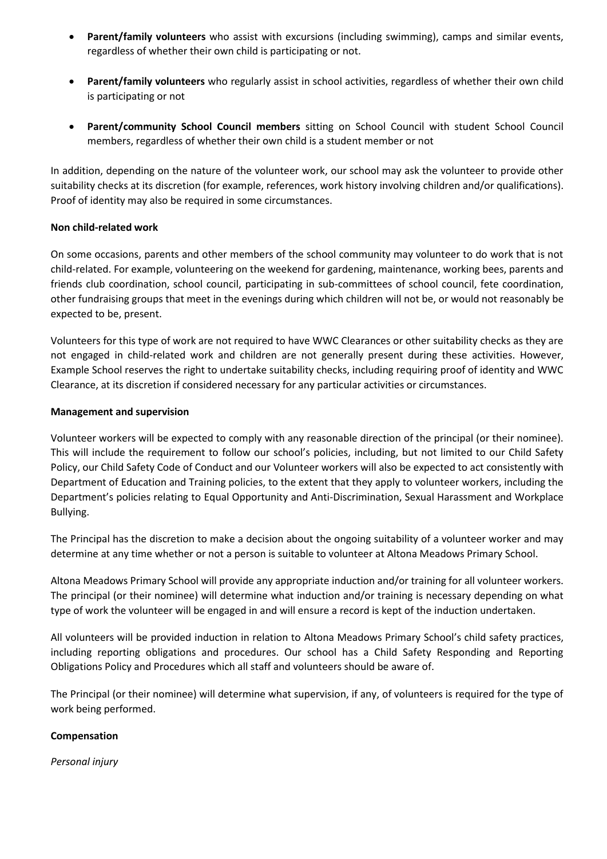- **Parent/family volunteers** who assist with excursions (including swimming), camps and similar events, regardless of whether their own child is participating or not.
- **Parent/family volunteers** who regularly assist in school activities, regardless of whether their own child is participating or not
- **Parent/community School Council members** sitting on School Council with student School Council members, regardless of whether their own child is a student member or not

In addition, depending on the nature of the volunteer work, our school may ask the volunteer to provide other suitability checks at its discretion (for example, references, work history involving children and/or qualifications). Proof of identity may also be required in some circumstances.

# **Non child-related work**

On some occasions, parents and other members of the school community may volunteer to do work that is not child-related. For example, volunteering on the weekend for gardening, maintenance, working bees, parents and friends club coordination, school council, participating in sub-committees of school council, fete coordination, other fundraising groups that meet in the evenings during which children will not be, or would not reasonably be expected to be, present.

Volunteers for this type of work are not required to have WWC Clearances or other suitability checks as they are not engaged in child-related work and children are not generally present during these activities. However, Example School reserves the right to undertake suitability checks, including requiring proof of identity and WWC Clearance, at its discretion if considered necessary for any particular activities or circumstances.

# **Management and supervision**

Volunteer workers will be expected to comply with any reasonable direction of the principal (or their nominee). This will include the requirement to follow our school's policies, including, but not limited to our Child Safety Policy, our Child Safety Code of Conduct and our Volunteer workers will also be expected to act consistently with Department of Education and Training policies, to the extent that they apply to volunteer workers, including the Department's policies relating to Equal Opportunity and Anti-Discrimination, Sexual Harassment and Workplace Bullying.

The Principal has the discretion to make a decision about the ongoing suitability of a volunteer worker and may determine at any time whether or not a person is suitable to volunteer at Altona Meadows Primary School.

Altona Meadows Primary School will provide any appropriate induction and/or training for all volunteer workers. The principal (or their nominee) will determine what induction and/or training is necessary depending on what type of work the volunteer will be engaged in and will ensure a record is kept of the induction undertaken.

All volunteers will be provided induction in relation to Altona Meadows Primary School's child safety practices, including reporting obligations and procedures. Our school has a Child Safety Responding and Reporting Obligations Policy and Procedures which all staff and volunteers should be aware of.

The Principal (or their nominee) will determine what supervision, if any, of volunteers is required for the type of work being performed.

# **Compensation**

*Personal injury*